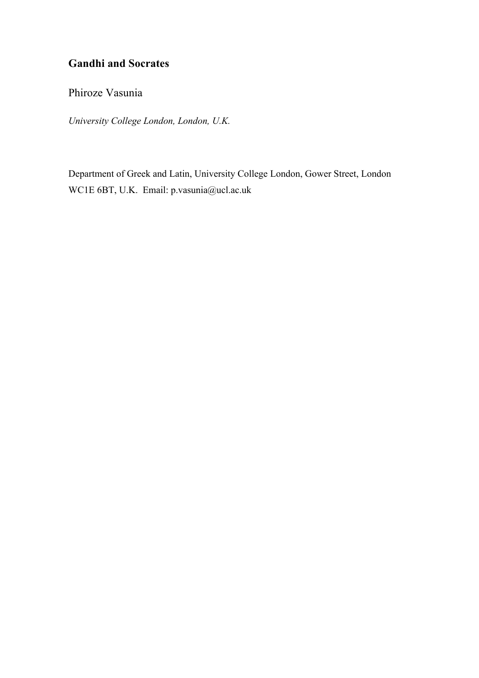# **Gandhi and Socrates**

Phiroze Vasunia

*University College London, London, U.K.*

Department of Greek and Latin, University College London, Gower Street, London WC1E 6BT, U.K. Email: p.vasunia@ucl.ac.uk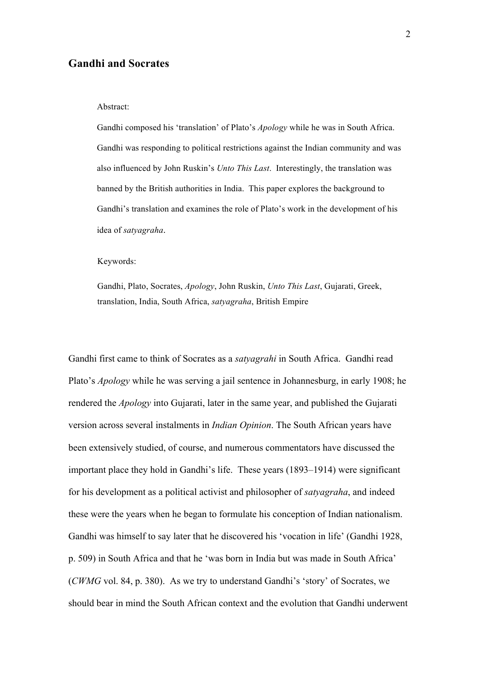# **Gandhi and Socrates**

#### Abstract:

Gandhi composed his 'translation' of Plato's *Apology* while he was in South Africa. Gandhi was responding to political restrictions against the Indian community and was also influenced by John Ruskin's *Unto This Last*. Interestingly, the translation was banned by the British authorities in India. This paper explores the background to Gandhi's translation and examines the role of Plato's work in the development of his idea of *satyagraha*.

#### Keywords:

Gandhi, Plato, Socrates, *Apology*, John Ruskin, *Unto This Last*, Gujarati, Greek, translation, India, South Africa, *satyagraha*, British Empire

Gandhi first came to think of Socrates as a *satyagrahi* in South Africa. Gandhi read Plato's *Apology* while he was serving a jail sentence in Johannesburg, in early 1908; he rendered the *Apology* into Gujarati, later in the same year, and published the Gujarati version across several instalments in *Indian Opinion*. The South African years have been extensively studied, of course, and numerous commentators have discussed the important place they hold in Gandhi's life. These years (1893–1914) were significant for his development as a political activist and philosopher of *satyagraha*, and indeed these were the years when he began to formulate his conception of Indian nationalism. Gandhi was himself to say later that he discovered his 'vocation in life' (Gandhi 1928, p. 509) in South Africa and that he 'was born in India but was made in South Africa' (*CWMG* vol. 84, p. 380). As we try to understand Gandhi's 'story' of Socrates, we should bear in mind the South African context and the evolution that Gandhi underwent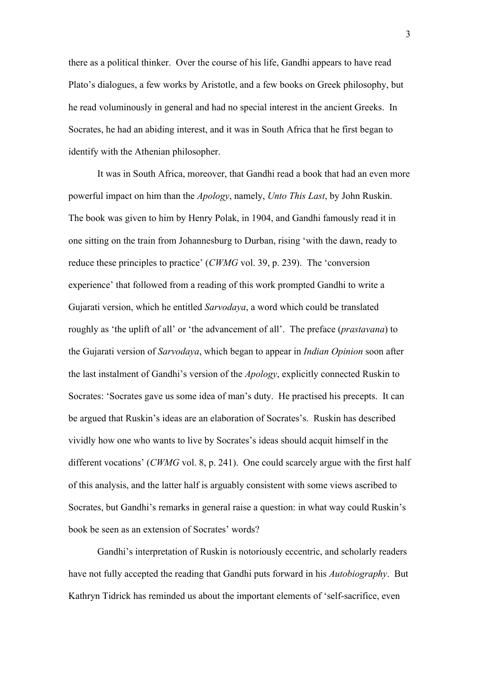there as a political thinker. Over the course of his life, Gandhi appears to have read Plato's dialogues, a few works by Aristotle, and a few books on Greek philosophy, but he read voluminously in general and had no special interest in the ancient Greeks. In Socrates, he had an abiding interest, and it was in South Africa that he first began to identify with the Athenian philosopher.

It was in South Africa, moreover, that Gandhi read a book that had an even more powerful impact on him than the *Apology*, namely, *Unto This Last*, by John Ruskin. The book was given to him by Henry Polak, in 1904, and Gandhi famously read it in one sitting on the train from Johannesburg to Durban, rising 'with the dawn, ready to reduce these principles to practice' (*CWMG* vol. 39, p. 239). The 'conversion experience' that followed from a reading of this work prompted Gandhi to write a Gujarati version, which he entitled *Sarvodaya*, a word which could be translated roughly as 'the uplift of all' or 'the advancement of all'. The preface (*prastavana*) to the Gujarati version of *Sarvodaya*, which began to appear in *Indian Opinion* soon after the last instalment of Gandhi's version of the *Apology*, explicitly connected Ruskin to Socrates: 'Socrates gave us some idea of man's duty. He practised his precepts. It can be argued that Ruskin's ideas are an elaboration of Socrates's. Ruskin has described vividly how one who wants to live by Socrates's ideas should acquit himself in the different vocations' (*CWMG* vol. 8, p. 241). One could scarcely argue with the first half of this analysis, and the latter half is arguably consistent with some views ascribed to Socrates, but Gandhi's remarks in general raise a question: in what way could Ruskin's book be seen as an extension of Socrates' words?

Gandhi's interpretation of Ruskin is notoriously eccentric, and scholarly readers have not fully accepted the reading that Gandhi puts forward in his *Autobiography*. But Kathryn Tidrick has reminded us about the important elements of 'self-sacrifice, even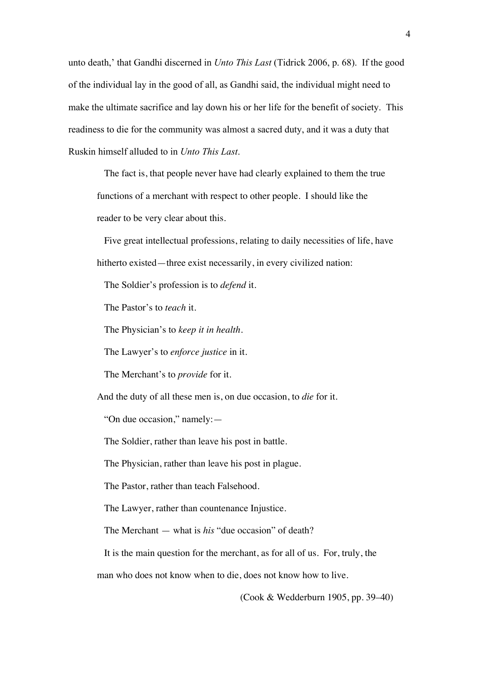unto death,' that Gandhi discerned in *Unto This Last* (Tidrick 2006, p. 68). If the good of the individual lay in the good of all, as Gandhi said, the individual might need to make the ultimate sacrifice and lay down his or her life for the benefit of society. This readiness to die for the community was almost a sacred duty, and it was a duty that Ruskin himself alluded to in *Unto This Last*.

 The fact is, that people never have had clearly explained to them the true functions of a merchant with respect to other people. I should like the reader to be very clear about this.

 Five great intellectual professions, relating to daily necessities of life, have hitherto existed—three exist necessarily, in every civilized nation:

The Soldier's profession is to *defend* it.

The Pastor's to *teach* it.

The Physician's to *keep it in health*.

The Lawyer's to *enforce justice* in it.

The Merchant's to *provide* for it.

And the duty of all these men is, on due occasion, to *die* for it.

"On due occasion," namely:—

The Soldier, rather than leave his post in battle.

The Physician, rather than leave his post in plague.

The Pastor, rather than teach Falsehood.

The Lawyer, rather than countenance Injustice.

The Merchant — what is *his* "due occasion" of death?

It is the main question for the merchant, as for all of us. For, truly, the

man who does not know when to die, does not know how to live.

(Cook & Wedderburn 1905, pp. 39–40)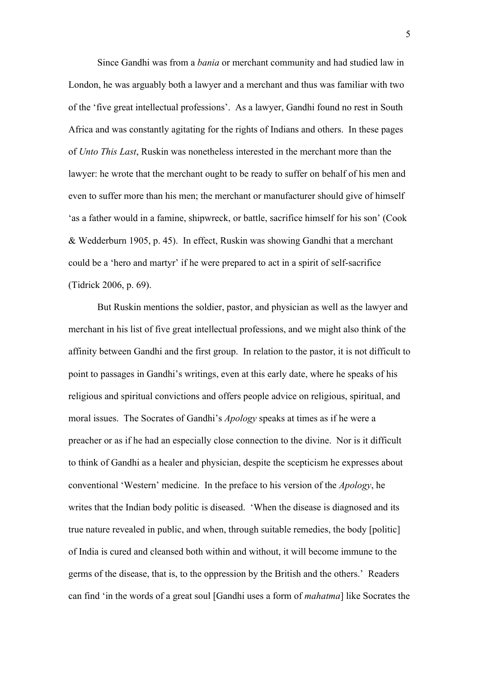Since Gandhi was from a *bania* or merchant community and had studied law in London, he was arguably both a lawyer and a merchant and thus was familiar with two of the 'five great intellectual professions'. As a lawyer, Gandhi found no rest in South Africa and was constantly agitating for the rights of Indians and others. In these pages of *Unto This Last*, Ruskin was nonetheless interested in the merchant more than the lawyer: he wrote that the merchant ought to be ready to suffer on behalf of his men and even to suffer more than his men; the merchant or manufacturer should give of himself 'as a father would in a famine, shipwreck, or battle, sacrifice himself for his son' (Cook & Wedderburn 1905, p. 45). In effect, Ruskin was showing Gandhi that a merchant could be a 'hero and martyr' if he were prepared to act in a spirit of self-sacrifice (Tidrick 2006, p. 69).

But Ruskin mentions the soldier, pastor, and physician as well as the lawyer and merchant in his list of five great intellectual professions, and we might also think of the affinity between Gandhi and the first group. In relation to the pastor, it is not difficult to point to passages in Gandhi's writings, even at this early date, where he speaks of his religious and spiritual convictions and offers people advice on religious, spiritual, and moral issues. The Socrates of Gandhi's *Apology* speaks at times as if he were a preacher or as if he had an especially close connection to the divine. Nor is it difficult to think of Gandhi as a healer and physician, despite the scepticism he expresses about conventional 'Western' medicine. In the preface to his version of the *Apology*, he writes that the Indian body politic is diseased. 'When the disease is diagnosed and its true nature revealed in public, and when, through suitable remedies, the body [politic] of India is cured and cleansed both within and without, it will become immune to the germs of the disease, that is, to the oppression by the British and the others.' Readers can find 'in the words of a great soul [Gandhi uses a form of *mahatma*] like Socrates the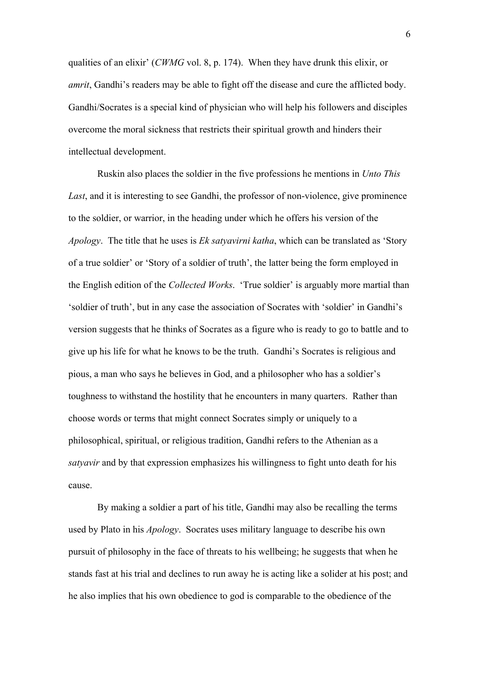qualities of an elixir' (*CWMG* vol. 8, p. 174). When they have drunk this elixir, or *amrit*, Gandhi's readers may be able to fight off the disease and cure the afflicted body. Gandhi/Socrates is a special kind of physician who will help his followers and disciples overcome the moral sickness that restricts their spiritual growth and hinders their intellectual development.

Ruskin also places the soldier in the five professions he mentions in *Unto This Last*, and it is interesting to see Gandhi, the professor of non-violence, give prominence to the soldier, or warrior, in the heading under which he offers his version of the *Apology*. The title that he uses is *Ek satyavirni katha*, which can be translated as 'Story of a true soldier' or 'Story of a soldier of truth', the latter being the form employed in the English edition of the *Collected Works*. 'True soldier' is arguably more martial than 'soldier of truth', but in any case the association of Socrates with 'soldier' in Gandhi's version suggests that he thinks of Socrates as a figure who is ready to go to battle and to give up his life for what he knows to be the truth. Gandhi's Socrates is religious and pious, a man who says he believes in God, and a philosopher who has a soldier's toughness to withstand the hostility that he encounters in many quarters. Rather than choose words or terms that might connect Socrates simply or uniquely to a philosophical, spiritual, or religious tradition, Gandhi refers to the Athenian as a *satyavir* and by that expression emphasizes his willingness to fight unto death for his cause.

By making a soldier a part of his title, Gandhi may also be recalling the terms used by Plato in his *Apology*. Socrates uses military language to describe his own pursuit of philosophy in the face of threats to his wellbeing; he suggests that when he stands fast at his trial and declines to run away he is acting like a solider at his post; and he also implies that his own obedience to god is comparable to the obedience of the

6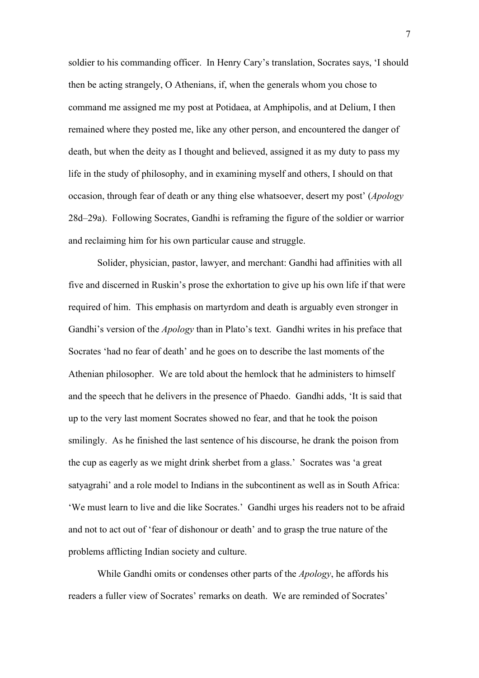soldier to his commanding officer. In Henry Cary's translation, Socrates says, 'I should then be acting strangely, O Athenians, if, when the generals whom you chose to command me assigned me my post at Potidaea, at Amphipolis, and at Delium, I then remained where they posted me, like any other person, and encountered the danger of death, but when the deity as I thought and believed, assigned it as my duty to pass my life in the study of philosophy, and in examining myself and others, I should on that occasion, through fear of death or any thing else whatsoever, desert my post' (*Apology* 28d–29a). Following Socrates, Gandhi is reframing the figure of the soldier or warrior and reclaiming him for his own particular cause and struggle.

Solider, physician, pastor, lawyer, and merchant: Gandhi had affinities with all five and discerned in Ruskin's prose the exhortation to give up his own life if that were required of him. This emphasis on martyrdom and death is arguably even stronger in Gandhi's version of the *Apology* than in Plato's text. Gandhi writes in his preface that Socrates 'had no fear of death' and he goes on to describe the last moments of the Athenian philosopher. We are told about the hemlock that he administers to himself and the speech that he delivers in the presence of Phaedo. Gandhi adds, 'It is said that up to the very last moment Socrates showed no fear, and that he took the poison smilingly. As he finished the last sentence of his discourse, he drank the poison from the cup as eagerly as we might drink sherbet from a glass.' Socrates was 'a great satyagrahi' and a role model to Indians in the subcontinent as well as in South Africa: 'We must learn to live and die like Socrates.' Gandhi urges his readers not to be afraid and not to act out of 'fear of dishonour or death' and to grasp the true nature of the problems afflicting Indian society and culture.

While Gandhi omits or condenses other parts of the *Apology*, he affords his readers a fuller view of Socrates' remarks on death. We are reminded of Socrates'

7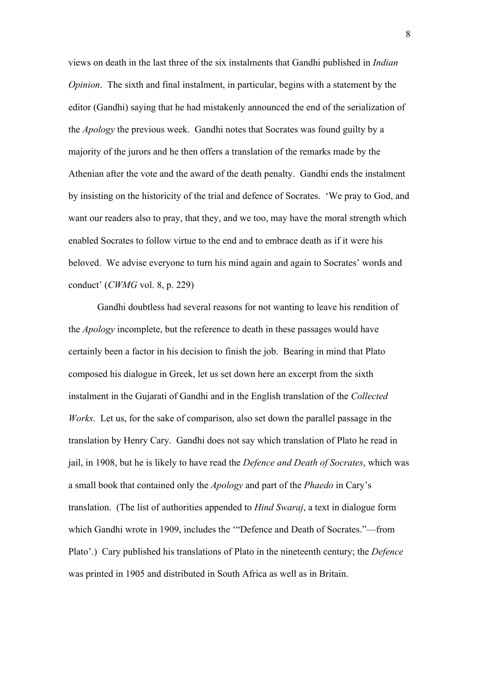views on death in the last three of the six instalments that Gandhi published in *Indian Opinion*. The sixth and final instalment, in particular, begins with a statement by the editor (Gandhi) saying that he had mistakenly announced the end of the serialization of the *Apology* the previous week. Gandhi notes that Socrates was found guilty by a majority of the jurors and he then offers a translation of the remarks made by the Athenian after the vote and the award of the death penalty. Gandhi ends the instalment by insisting on the historicity of the trial and defence of Socrates. 'We pray to God, and want our readers also to pray, that they, and we too, may have the moral strength which enabled Socrates to follow virtue to the end and to embrace death as if it were his beloved. We advise everyone to turn his mind again and again to Socrates' words and conduct' (*CWMG* vol. 8, p. 229)

Gandhi doubtless had several reasons for not wanting to leave his rendition of the *Apology* incomplete, but the reference to death in these passages would have certainly been a factor in his decision to finish the job. Bearing in mind that Plato composed his dialogue in Greek, let us set down here an excerpt from the sixth instalment in the Gujarati of Gandhi and in the English translation of the *Collected Works*. Let us, for the sake of comparison, also set down the parallel passage in the translation by Henry Cary. Gandhi does not say which translation of Plato he read in jail, in 1908, but he is likely to have read the *Defence and Death of Socrates*, which was a small book that contained only the *Apology* and part of the *Phaedo* in Cary's translation. (The list of authorities appended to *Hind Swaraj*, a text in dialogue form which Gandhi wrote in 1909, includes the '"Defence and Death of Socrates."—from Plato'.) Cary published his translations of Plato in the nineteenth century; the *Defence*  was printed in 1905 and distributed in South Africa as well as in Britain.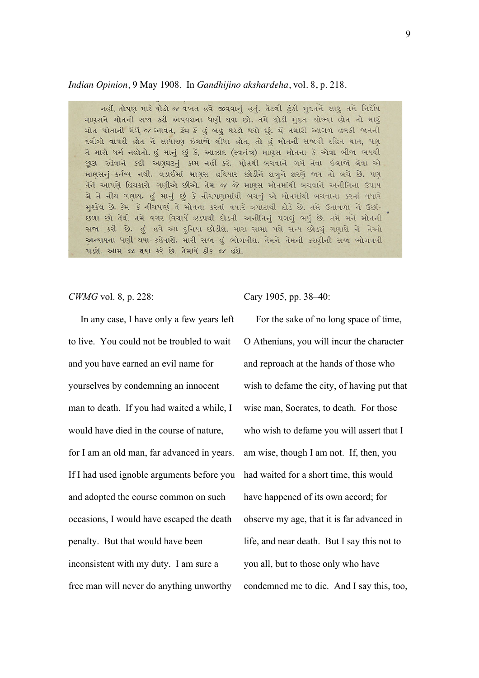#### *Indian Opinion*, 9 May 1908. In *Gandhijino akshardeha*, vol. 8, p. 218.

નહીં, તોપણ મારે થોડો જ વખત હવે જીવવાનું હતું. તેટલી ટૂંકી મુદતને સારૃ તમે નિર્દોષ માણસને મોતની સજા કરી અપયશના ધણી થયા છો. તમે થોડી મૃદત થોભ્યા હોત તો મારૃં મોત પોતાની મેળે જ આવત, કેમ કે હું બહુ ઘરડો થયો છું. મેં તમારી આગળ હલકી જાતની દલીલો વાપરી હોત ને સાધારણ ઇલાજો લીધા હોત, તો હું મોતની સજાયી રહિત થાત, પણ તે મારો ધર્મ નહોતો. હું માનું છું કે, આઝાદ (સ્વતંત્ર) માણસ મોતના કે એવા બીજા ભયથી છૂટા રહેવાને કદી આણઘટતું કામ નહીં કરે. મોતથી બચવાને ગમે તેવા ઇલાજો લેવા એ માણસનું કર્તવ્ય નથી. લડાઈમાં માણસ હથિયાર છોડીને શત્રને શરણે જાય તો બચે છે. પણ તેને આપણે હિચકારો ગણીએ છીએ. તેમ જ જે માણસ મોતમાંથી બચવાને અનીતિના ઉપાય લે તે નીચ ગણાય. હું માનું છું કે નીચપણામાંથી બચવું એ મોતમાંથી બચવાના કરતાં વધારે મૃશ્કેલ છે. કેમ કે નીચપણું તે મોતના કરતાં વધારે ઝપાટાથી દોડે છે. તમે ઉતાવળા ને ઉછાં-છળા છો તેથી તમે વગર વિચાર્યે ઝડપથી દોડતી અનીતિનું પગલું ભર્યું છે. તમે મને મોતની સજા કરી છે. હું હવે આ દુનિયા છોડીશ. મારા સામા પક્ષે સત્ય છોડ્યું ગણાશે ને તેઓ અન્યાયના ધણી થયા કહેવાશે. મારી સજા હું ભોગવીશ. તેમને તેમની કરણીની સજા ભોગવવી પડશે. આમ જ થયા કરે છે. તેમાંયે ઠીક જ હશે.

## *CWMG* vol. 8, p. 228:

 In any case, I have only a few years left to live. You could not be troubled to wait and you have earned an evil name for yourselves by condemning an innocent man to death. If you had waited a while, I would have died in the course of nature, for I am an old man, far advanced in years. If I had used ignoble arguments before you and adopted the course common on such occasions, I would have escaped the death penalty. But that would have been inconsistent with my duty. I am sure a free man will never do anything unworthy

## Cary 1905, pp. 38–40:

 For the sake of no long space of time, O Athenians, you will incur the character and reproach at the hands of those who wish to defame the city, of having put that wise man, Socrates, to death. For those who wish to defame you will assert that I am wise, though I am not. If, then, you had waited for a short time, this would have happened of its own accord; for observe my age, that it is far advanced in life, and near death. But I say this not to you all, but to those only who have condemned me to die. And I say this, too, about:blank Page 1 of 3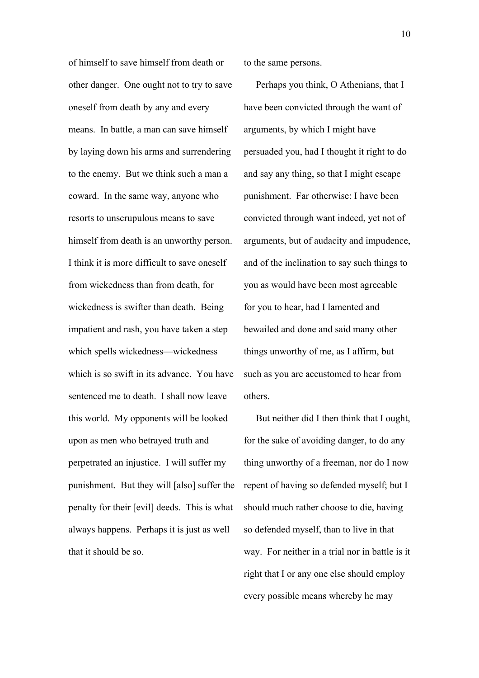of himself to save himself from death or other danger. One ought not to try to save oneself from death by any and every means. In battle, a man can save himself by laying down his arms and surrendering to the enemy. But we think such a man a coward. In the same way, anyone who resorts to unscrupulous means to save himself from death is an unworthy person. I think it is more difficult to save oneself from wickedness than from death, for wickedness is swifter than death. Being impatient and rash, you have taken a step which spells wickedness—wickedness which is so swift in its advance. You have sentenced me to death. I shall now leave this world. My opponents will be looked upon as men who betrayed truth and perpetrated an injustice. I will suffer my punishment. But they will [also] suffer the penalty for their [evil] deeds. This is what always happens. Perhaps it is just as well that it should be so.

to the same persons.

 Perhaps you think, O Athenians, that I have been convicted through the want of arguments, by which I might have persuaded you, had I thought it right to do and say any thing, so that I might escape punishment. Far otherwise: I have been convicted through want indeed, yet not of arguments, but of audacity and impudence, and of the inclination to say such things to you as would have been most agreeable for you to hear, had I lamented and bewailed and done and said many other things unworthy of me, as I affirm, but such as you are accustomed to hear from others.

 But neither did I then think that I ought, for the sake of avoiding danger, to do any thing unworthy of a freeman, nor do I now repent of having so defended myself; but I should much rather choose to die, having so defended myself, than to live in that way. For neither in a trial nor in battle is it right that I or any one else should employ every possible means whereby he may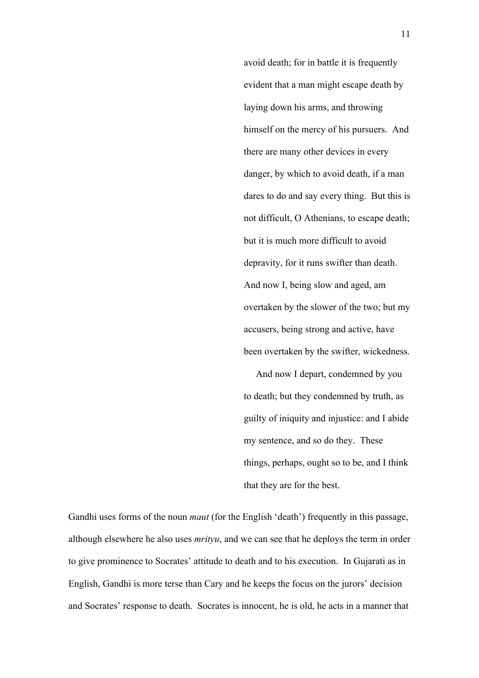avoid death; for in battle it is frequently evident that a man might escape death by laying down his arms, and throwing himself on the mercy of his pursuers. And there are many other devices in every danger, by which to avoid death, if a man dares to do and say every thing. But this is not difficult, O Athenians, to escape death; but it is much more difficult to avoid depravity, for it runs swifter than death. And now I, being slow and aged, am overtaken by the slower of the two; but my accusers, being strong and active, have been overtaken by the swifter, wickedness.

 And now I depart, condemned by you to death; but they condemned by truth, as guilty of iniquity and injustice: and I abide my sentence, and so do they. These things, perhaps, ought so to be, and I think that they are for the best.

Gandhi uses forms of the noun *maut* (for the English 'death') frequently in this passage, although elsewhere he also uses *mrityu*, and we can see that he deploys the term in order to give prominence to Socrates' attitude to death and to his execution. In Gujarati as in English, Gandhi is more terse than Cary and he keeps the focus on the jurors' decision and Socrates' response to death. Socrates is innocent, he is old, he acts in a manner that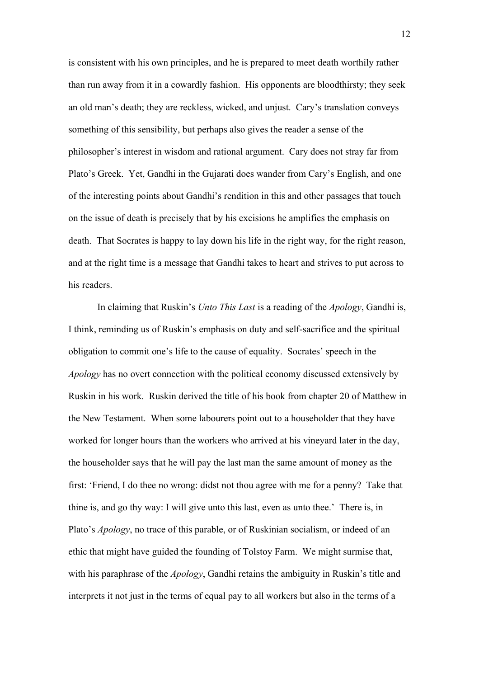is consistent with his own principles, and he is prepared to meet death worthily rather than run away from it in a cowardly fashion. His opponents are bloodthirsty; they seek an old man's death; they are reckless, wicked, and unjust. Cary's translation conveys something of this sensibility, but perhaps also gives the reader a sense of the philosopher's interest in wisdom and rational argument. Cary does not stray far from Plato's Greek. Yet, Gandhi in the Gujarati does wander from Cary's English, and one of the interesting points about Gandhi's rendition in this and other passages that touch on the issue of death is precisely that by his excisions he amplifies the emphasis on death. That Socrates is happy to lay down his life in the right way, for the right reason, and at the right time is a message that Gandhi takes to heart and strives to put across to his readers.

In claiming that Ruskin's *Unto This Last* is a reading of the *Apology*, Gandhi is, I think, reminding us of Ruskin's emphasis on duty and self-sacrifice and the spiritual obligation to commit one's life to the cause of equality. Socrates' speech in the *Apology* has no overt connection with the political economy discussed extensively by Ruskin in his work. Ruskin derived the title of his book from chapter 20 of Matthew in the New Testament. When some labourers point out to a householder that they have worked for longer hours than the workers who arrived at his vineyard later in the day, the householder says that he will pay the last man the same amount of money as the first: 'Friend, I do thee no wrong: didst not thou agree with me for a penny? Take that thine is, and go thy way: I will give unto this last, even as unto thee.' There is, in Plato's *Apology*, no trace of this parable, or of Ruskinian socialism, or indeed of an ethic that might have guided the founding of Tolstoy Farm. We might surmise that, with his paraphrase of the *Apology*, Gandhi retains the ambiguity in Ruskin's title and interprets it not just in the terms of equal pay to all workers but also in the terms of a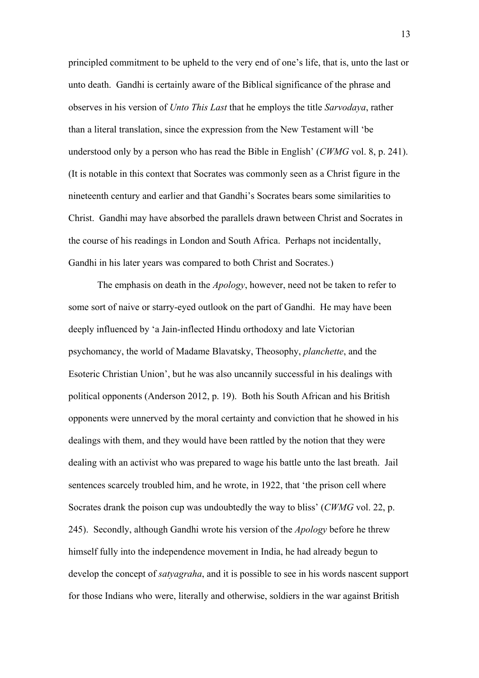principled commitment to be upheld to the very end of one's life, that is, unto the last or unto death. Gandhi is certainly aware of the Biblical significance of the phrase and observes in his version of *Unto This Last* that he employs the title *Sarvodaya*, rather than a literal translation, since the expression from the New Testament will 'be understood only by a person who has read the Bible in English' (*CWMG* vol. 8, p. 241). (It is notable in this context that Socrates was commonly seen as a Christ figure in the nineteenth century and earlier and that Gandhi's Socrates bears some similarities to Christ. Gandhi may have absorbed the parallels drawn between Christ and Socrates in the course of his readings in London and South Africa. Perhaps not incidentally, Gandhi in his later years was compared to both Christ and Socrates.)

The emphasis on death in the *Apology*, however, need not be taken to refer to some sort of naive or starry-eyed outlook on the part of Gandhi. He may have been deeply influenced by 'a Jain-inflected Hindu orthodoxy and late Victorian psychomancy, the world of Madame Blavatsky, Theosophy, *planchette*, and the Esoteric Christian Union', but he was also uncannily successful in his dealings with political opponents (Anderson 2012, p. 19). Both his South African and his British opponents were unnerved by the moral certainty and conviction that he showed in his dealings with them, and they would have been rattled by the notion that they were dealing with an activist who was prepared to wage his battle unto the last breath. Jail sentences scarcely troubled him, and he wrote, in 1922, that 'the prison cell where Socrates drank the poison cup was undoubtedly the way to bliss' (*CWMG* vol. 22, p. 245). Secondly, although Gandhi wrote his version of the *Apology* before he threw himself fully into the independence movement in India, he had already begun to develop the concept of *satyagraha*, and it is possible to see in his words nascent support for those Indians who were, literally and otherwise, soldiers in the war against British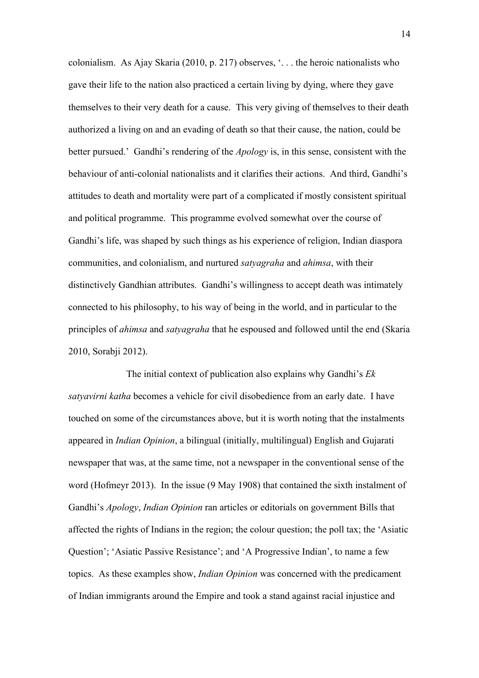colonialism. As Ajay Skaria (2010, p. 217) observes, '. . . the heroic nationalists who gave their life to the nation also practiced a certain living by dying, where they gave themselves to their very death for a cause. This very giving of themselves to their death authorized a living on and an evading of death so that their cause, the nation, could be better pursued.' Gandhi's rendering of the *Apology* is, in this sense, consistent with the behaviour of anti-colonial nationalists and it clarifies their actions. And third, Gandhi's attitudes to death and mortality were part of a complicated if mostly consistent spiritual and political programme. This programme evolved somewhat over the course of Gandhi's life, was shaped by such things as his experience of religion, Indian diaspora communities, and colonialism, and nurtured *satyagraha* and *ahimsa*, with their distinctively Gandhian attributes. Gandhi's willingness to accept death was intimately connected to his philosophy, to his way of being in the world, and in particular to the principles of *ahimsa* and *satyagraha* that he espoused and followed until the end (Skaria 2010, Sorabji 2012).

The initial context of publication also explains why Gandhi's *Ek satyavirni katha* becomes a vehicle for civil disobedience from an early date. I have touched on some of the circumstances above, but it is worth noting that the instalments appeared in *Indian Opinion*, a bilingual (initially, multilingual) English and Gujarati newspaper that was, at the same time, not a newspaper in the conventional sense of the word (Hofmeyr 2013). In the issue (9 May 1908) that contained the sixth instalment of Gandhi's *Apology*, *Indian Opinion* ran articles or editorials on government Bills that affected the rights of Indians in the region; the colour question; the poll tax; the 'Asiatic Question'; 'Asiatic Passive Resistance'; and 'A Progressive Indian', to name a few topics. As these examples show, *Indian Opinion* was concerned with the predicament of Indian immigrants around the Empire and took a stand against racial injustice and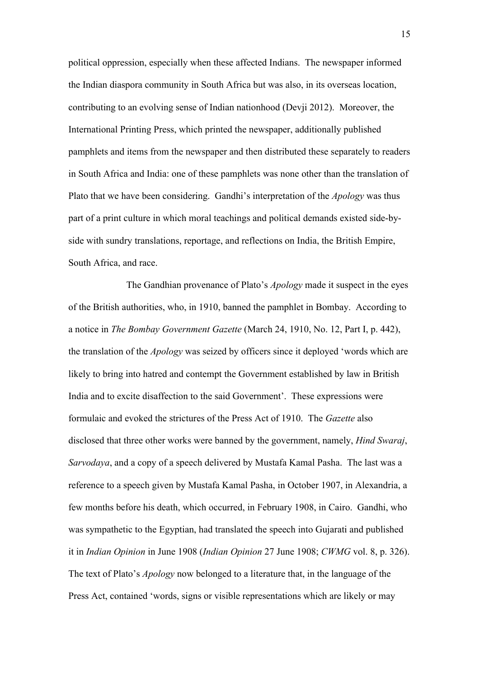political oppression, especially when these affected Indians. The newspaper informed the Indian diaspora community in South Africa but was also, in its overseas location, contributing to an evolving sense of Indian nationhood (Devji 2012). Moreover, the International Printing Press, which printed the newspaper, additionally published pamphlets and items from the newspaper and then distributed these separately to readers in South Africa and India: one of these pamphlets was none other than the translation of Plato that we have been considering. Gandhi's interpretation of the *Apology* was thus part of a print culture in which moral teachings and political demands existed side-byside with sundry translations, reportage, and reflections on India, the British Empire, South Africa, and race.

The Gandhian provenance of Plato's *Apology* made it suspect in the eyes of the British authorities, who, in 1910, banned the pamphlet in Bombay. According to a notice in *The Bombay Government Gazette* (March 24, 1910, No. 12, Part I, p. 442), the translation of the *Apology* was seized by officers since it deployed 'words which are likely to bring into hatred and contempt the Government established by law in British India and to excite disaffection to the said Government'. These expressions were formulaic and evoked the strictures of the Press Act of 1910. The *Gazette* also disclosed that three other works were banned by the government, namely, *Hind Swaraj*, *Sarvodaya*, and a copy of a speech delivered by Mustafa Kamal Pasha. The last was a reference to a speech given by Mustafa Kamal Pasha, in October 1907, in Alexandria, a few months before his death, which occurred, in February 1908, in Cairo. Gandhi, who was sympathetic to the Egyptian, had translated the speech into Gujarati and published it in *Indian Opinion* in June 1908 (*Indian Opinion* 27 June 1908; *CWMG* vol. 8, p. 326). The text of Plato's *Apology* now belonged to a literature that, in the language of the Press Act, contained 'words, signs or visible representations which are likely or may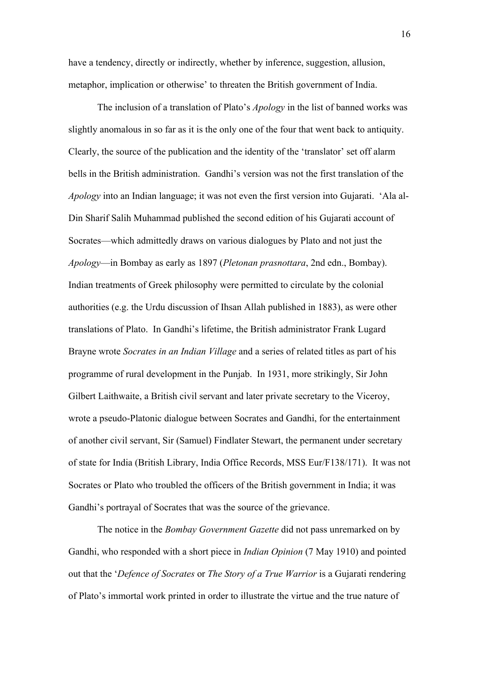have a tendency, directly or indirectly, whether by inference, suggestion, allusion, metaphor, implication or otherwise' to threaten the British government of India.

The inclusion of a translation of Plato's *Apology* in the list of banned works was slightly anomalous in so far as it is the only one of the four that went back to antiquity. Clearly, the source of the publication and the identity of the 'translator' set off alarm bells in the British administration. Gandhi's version was not the first translation of the *Apology* into an Indian language; it was not even the first version into Gujarati. 'Ala al-Din Sharif Salih Muhammad published the second edition of his Gujarati account of Socrates—which admittedly draws on various dialogues by Plato and not just the *Apology*—in Bombay as early as 1897 (*Pletonan prasnottara*, 2nd edn., Bombay). Indian treatments of Greek philosophy were permitted to circulate by the colonial authorities (e.g. the Urdu discussion of Ihsan Allah published in 1883), as were other translations of Plato. In Gandhi's lifetime, the British administrator Frank Lugard Brayne wrote *Socrates in an Indian Village* and a series of related titles as part of his programme of rural development in the Punjab. In 1931, more strikingly, Sir John Gilbert Laithwaite, a British civil servant and later private secretary to the Viceroy, wrote a pseudo-Platonic dialogue between Socrates and Gandhi, for the entertainment of another civil servant, Sir (Samuel) Findlater Stewart, the permanent under secretary of state for India (British Library, India Office Records, MSS Eur/F138/171). It was not Socrates or Plato who troubled the officers of the British government in India; it was Gandhi's portrayal of Socrates that was the source of the grievance.

The notice in the *Bombay Government Gazette* did not pass unremarked on by Gandhi, who responded with a short piece in *Indian Opinion* (7 May 1910) and pointed out that the '*Defence of Socrates* or *The Story of a True Warrior* is a Gujarati rendering of Plato's immortal work printed in order to illustrate the virtue and the true nature of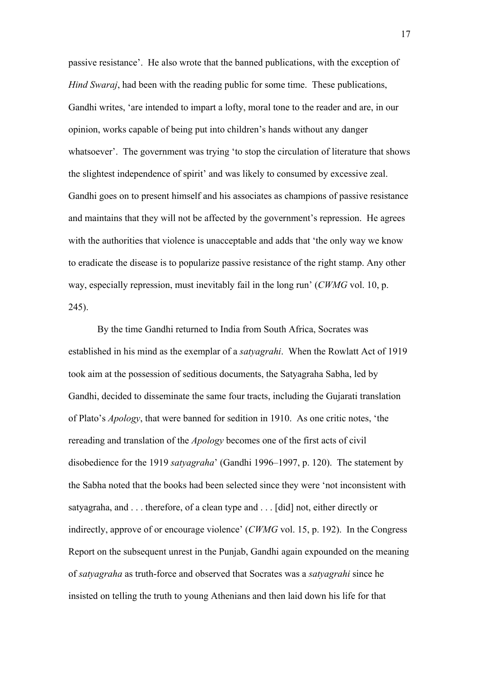passive resistance'. He also wrote that the banned publications, with the exception of *Hind Swaraj*, had been with the reading public for some time. These publications, Gandhi writes, 'are intended to impart a lofty, moral tone to the reader and are, in our opinion, works capable of being put into children's hands without any danger whatsoever'. The government was trying 'to stop the circulation of literature that shows the slightest independence of spirit' and was likely to consumed by excessive zeal. Gandhi goes on to present himself and his associates as champions of passive resistance and maintains that they will not be affected by the government's repression. He agrees with the authorities that violence is unacceptable and adds that 'the only way we know to eradicate the disease is to popularize passive resistance of the right stamp. Any other way, especially repression, must inevitably fail in the long run' (*CWMG* vol. 10, p. 245).

By the time Gandhi returned to India from South Africa, Socrates was established in his mind as the exemplar of a *satyagrahi*. When the Rowlatt Act of 1919 took aim at the possession of seditious documents, the Satyagraha Sabha, led by Gandhi, decided to disseminate the same four tracts, including the Gujarati translation of Plato's *Apology*, that were banned for sedition in 1910. As one critic notes, 'the rereading and translation of the *Apology* becomes one of the first acts of civil disobedience for the 1919 *satyagraha*' (Gandhi 1996–1997, p. 120). The statement by the Sabha noted that the books had been selected since they were 'not inconsistent with satyagraha, and . . . therefore, of a clean type and . . . [did] not, either directly or indirectly, approve of or encourage violence' (*CWMG* vol. 15, p. 192). In the Congress Report on the subsequent unrest in the Punjab, Gandhi again expounded on the meaning of *satyagraha* as truth-force and observed that Socrates was a *satyagrahi* since he insisted on telling the truth to young Athenians and then laid down his life for that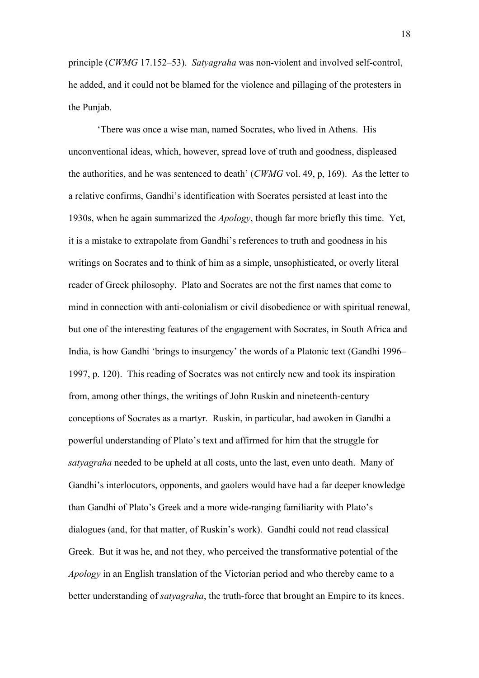principle (*CWMG* 17.152–53). *Satyagraha* was non-violent and involved self-control, he added, and it could not be blamed for the violence and pillaging of the protesters in the Punjab.

'There was once a wise man, named Socrates, who lived in Athens. His unconventional ideas, which, however, spread love of truth and goodness, displeased the authorities, and he was sentenced to death' (*CWMG* vol. 49, p, 169). As the letter to a relative confirms, Gandhi's identification with Socrates persisted at least into the 1930s, when he again summarized the *Apology*, though far more briefly this time. Yet, it is a mistake to extrapolate from Gandhi's references to truth and goodness in his writings on Socrates and to think of him as a simple, unsophisticated, or overly literal reader of Greek philosophy. Plato and Socrates are not the first names that come to mind in connection with anti-colonialism or civil disobedience or with spiritual renewal, but one of the interesting features of the engagement with Socrates, in South Africa and India, is how Gandhi 'brings to insurgency' the words of a Platonic text (Gandhi 1996– 1997, p. 120). This reading of Socrates was not entirely new and took its inspiration from, among other things, the writings of John Ruskin and nineteenth-century conceptions of Socrates as a martyr. Ruskin, in particular, had awoken in Gandhi a powerful understanding of Plato's text and affirmed for him that the struggle for *satyagraha* needed to be upheld at all costs, unto the last, even unto death. Many of Gandhi's interlocutors, opponents, and gaolers would have had a far deeper knowledge than Gandhi of Plato's Greek and a more wide-ranging familiarity with Plato's dialogues (and, for that matter, of Ruskin's work). Gandhi could not read classical Greek. But it was he, and not they, who perceived the transformative potential of the *Apology* in an English translation of the Victorian period and who thereby came to a better understanding of *satyagraha*, the truth-force that brought an Empire to its knees.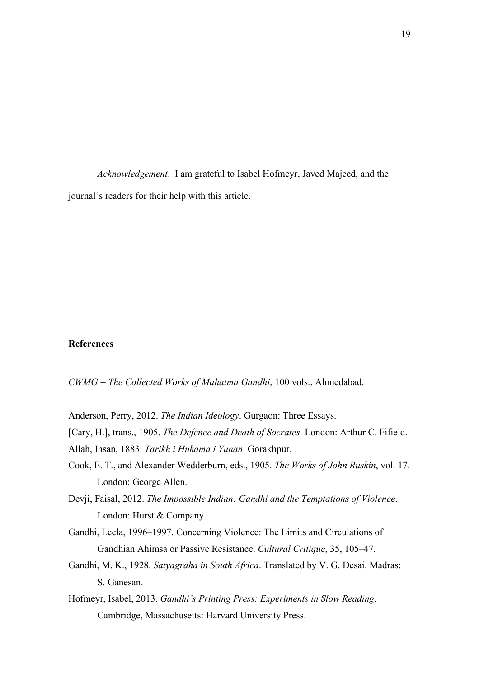*Acknowledgement*. I am grateful to Isabel Hofmeyr, Javed Majeed, and the journal's readers for their help with this article.

#### **References**

*CWMG* = *The Collected Works of Mahatma Gandhi*, 100 vols., Ahmedabad.

- Anderson, Perry, 2012. *The Indian Ideology*. Gurgaon: Three Essays.
- [Cary, H.], trans., 1905. *The Defence and Death of Socrates*. London: Arthur C. Fifield.
- Allah, Ihsan, 1883. *Tarikh i Hukama i Yunan*. Gorakhpur.
- Cook, E. T., and Alexander Wedderburn, eds., 1905. *The Works of John Ruskin*, vol. 17. London: George Allen.
- Devji, Faisal, 2012. *The Impossible Indian: Gandhi and the Temptations of Violence*. London: Hurst & Company.
- Gandhi, Leela, 1996–1997. Concerning Violence: The Limits and Circulations of Gandhian Ahimsa or Passive Resistance. *Cultural Critique*, 35, 105–47.
- Gandhi, M. K., 1928. *Satyagraha in South Africa*. Translated by V. G. Desai. Madras: S. Ganesan.
- Hofmeyr, Isabel, 2013. *Gandhi's Printing Press: Experiments in Slow Reading*. Cambridge, Massachusetts: Harvard University Press.